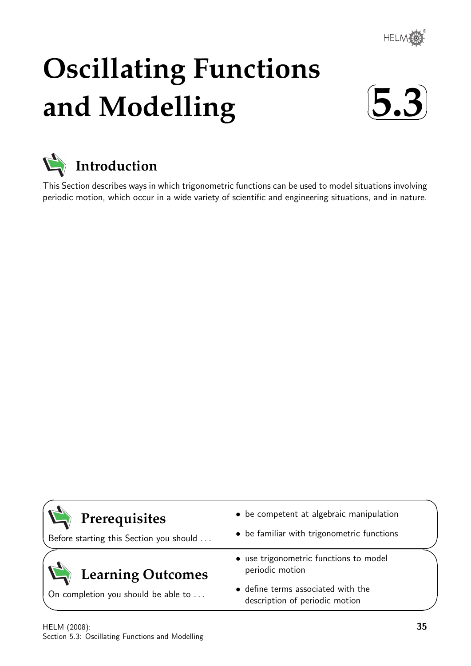

# **Oscillating Functions and Modelling**





This Section describes ways in which trigonometric functions can be used to model situations involving periodic motion, which occur in a wide variety of scientific and engineering situations, and in nature.

| Prerequisites |
|---------------|
|---------------|

 $\overline{\phantom{0}}$ 

 $\searrow$ 

 $\ge$ 

✧

Before starting this Section you should . . .

## **Learning Outcomes**

On completion you should be able to ...

- be competent at algebraic manipulation
- be familiar with trigonometric functions
- use trigonometric functions to model periodic motion
- define terms associated with the description of periodic motion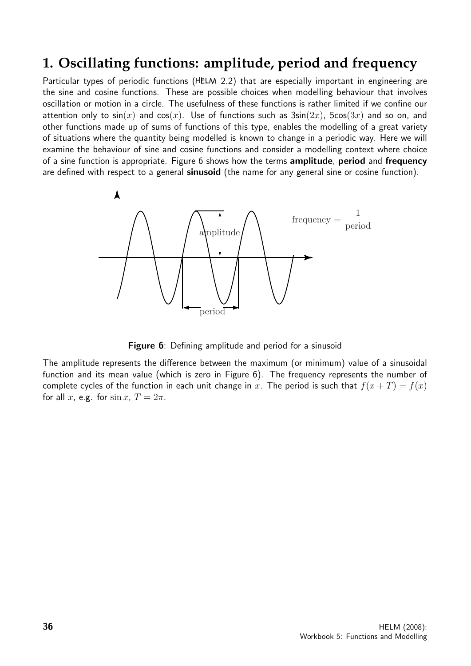## **1. Oscillating functions: amplitude, period and frequency**

Particular types of periodic functions (HELM 2.2) that are especially important in engineering are the sine and cosine functions. These are possible choices when modelling behaviour that involves oscillation or motion in a circle. The usefulness of these functions is rather limited if we confine our attention only to  $sin(x)$  and  $cos(x)$ . Use of functions such as  $3sin(2x)$ ,  $5cos(3x)$  and so on, and other functions made up of sums of functions of this type, enables the modelling of a great variety of situations where the quantity being modelled is known to change in a periodic way. Here we will examine the behaviour of sine and cosine functions and consider a modelling context where choice of a sine function is appropriate. Figure 6 shows how the terms amplitude, period and frequency are defined with respect to a general sinusoid (the name for any general sine or cosine function).



**Figure 6**: Defining amplitude and period for a sinusoid

The amplitude represents the difference between the maximum (or minimum) value of a sinusoidal function and its mean value (which is zero in Figure 6). The frequency represents the number of complete cycles of the function in each unit change in x. The period is such that  $f(x+T) = f(x)$ for all x, e.g. for  $\sin x$ ,  $T = 2\pi$ .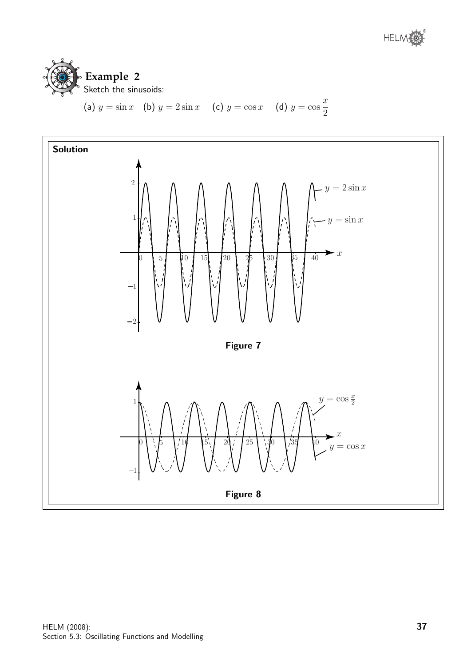

(a) 
$$
y = \sin x
$$
 (b)  $y = 2 \sin x$  (c)  $y = \cos x$  (d)  $y = \cos \frac{x}{2}$ 

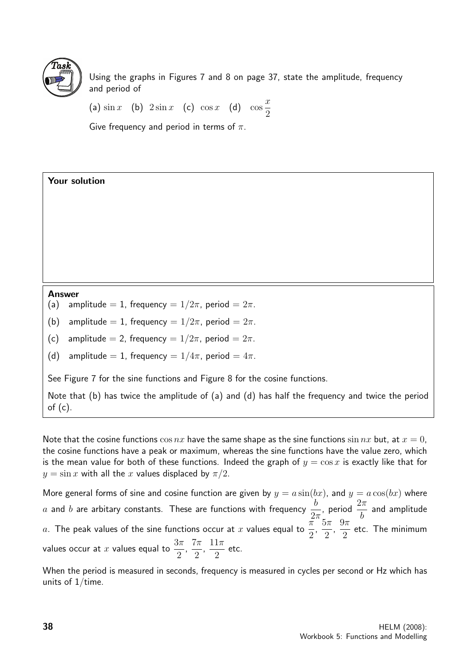

Your solution

Using the graphs in Figures 7 and 8 on page 37, state the amplitude, frequency and period of

(a)  $\sin x$  (b)  $2\sin x$  (c)  $\cos x$  (d)  $\cos x$  $\overline{x}$ 2

Give frequency and period in terms of  $\pi$ .

- (a) amplitude = 1, frequency =  $1/2\pi$ , period =  $2\pi$ .
- (b) amplitude = 1, frequency =  $1/2\pi$ , period =  $2\pi$ .
- (c) amplitude = 2, frequency =  $1/2\pi$ , period =  $2\pi$ .
- (d) amplitude = 1, frequency =  $1/4\pi$ , period =  $4\pi$ .

See Figure 7 for the sine functions and Figure 8 for the cosine functions.

Note that (b) has twice the amplitude of (a) and (d) has half the frequency and twice the period of  $(c)$ .

Note that the cosine functions  $\cos nx$  have the same shape as the sine functions  $\sin nx$  but, at  $x = 0$ , the cosine functions have a peak or maximum, whereas the sine functions have the value zero, which is the mean value for both of these functions. Indeed the graph of  $y = \cos x$  is exactly like that for  $y = \sin x$  with all the x values displaced by  $\pi/2$ .

More general forms of sine and cosine function are given by  $y = a \sin(bx)$ , and  $y = a \cos(bx)$  where  $a$  and  $b$  are arbitary constants. These are functions with frequency  $\frac{b}{\Omega}$  $2\pi$ , period  $\frac{2\pi}{l}$ b and amplitude  $a$ . The peak values of the sine functions occur at  $x$  values equal to  $\frac{\pi}{2}$ 2 ,  $5\pi$ 2 ,  $9\pi$ 2 etc. The minimum values occur at x values equal to  $\frac{3\pi}{2}$ 2 ,  $7\pi$ 2 ,  $11\pi$ 2 etc.

When the period is measured in seconds, frequency is measured in cycles per second or Hz which has units of  $1$ /time.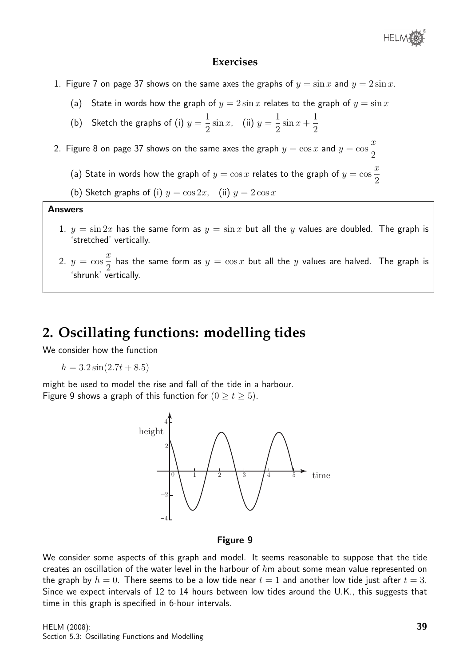

#### **Exercises**

- 1. Figure 7 on page 37 shows on the same axes the graphs of  $y = \sin x$  and  $y = 2\sin x$ .
	- (a) State in words how the graph of  $y = 2 \sin x$  relates to the graph of  $y = \sin x$
	- (b) Sketch the graphs of (i)  $y=$ 1 2  $\sin x$ , (ii)  $y =$ 1 2  $\sin x +$ 1 2
- 2. Figure 8 on page 37 shows on the same axes the graph  $y=\cos x$  and  $y=\cos x$  $\boldsymbol{x}$ 2
	- (a) State in words how the graph of  $y = \cos x$  relates to the graph of  $y = \cos x$  $\overline{x}$ 2

(b) Sketch graphs of (i)  $y = \cos 2x$ , (ii)  $y = 2 \cos x$ 

#### Answers

- 1.  $y = \sin 2x$  has the same form as  $y = \sin x$  but all the y values are doubled. The graph is 'stretched' vertically.
- 2.  $y = \cos$  $\overline{x}$ 2 has the same form as  $y = \cos x$  but all the  $y$  values are halved. The graph is 'shrunk' vertically.

## **2. Oscillating functions: modelling tides**

We consider how the function

$$
h = 3.2\sin(2.7t + 8.5)
$$

might be used to model the rise and fall of the tide in a harbour. Figure 9 shows a graph of this function for  $(0 \ge t \ge 5)$ .



Figure 9

We consider some aspects of this graph and model. It seems reasonable to suppose that the tide creates an oscillation of the water level in the harbour of  $h$ m about some mean value represented on the graph by  $h = 0$ . There seems to be a low tide near  $t = 1$  and another low tide just after  $t = 3$ . Since we expect intervals of 12 to 14 hours between low tides around the U.K., this suggests that time in this graph is specified in 6-hour intervals.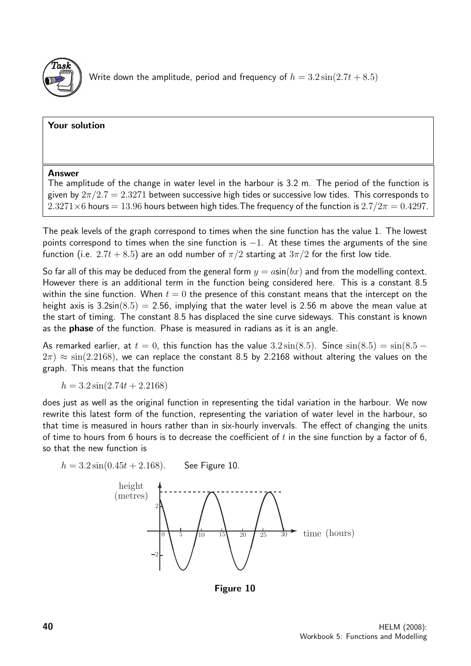

#### Your solution

#### Answer

The amplitude of the change in water level in the harbour is 3.2 m. The period of the function is given by  $2\pi/2.7 = 2.3271$  between successive high tides or successive low tides. This corresponds to  $2.3271\times6$  hours = 13.96 hours between high tides. The frequency of the function is  $2.7/2\pi = 0.4297$ .

The peak levels of the graph correspond to times when the sine function has the value 1. The lowest points correspond to times when the sine function is  $-1$ . At these times the arguments of the sine function (i.e. 2.7t + 8.5) are an odd number of  $\pi/2$  starting at  $3\pi/2$  for the first low tide.

So far all of this may be deduced from the general form  $y = a\sin(bx)$  and from the modelling context. However there is an additional term in the function being considered here. This is a constant 8.5 within the sine function. When  $t = 0$  the presence of this constant means that the intercept on the height axis is  $3.2\sin(8.5) = 2.56$ , implying that the water level is 2.56 m above the mean value at the start of timing. The constant 8.5 has displaced the sine curve sideways. This constant is known as the phase of the function. Phase is measured in radians as it is an angle.

As remarked earlier, at  $t = 0$ , this function has the value  $3.2 \sin(8.5)$ . Since  $\sin(8.5) = \sin(8.5 2\pi$ )  $\approx$  sin(2.2168), we can replace the constant 8.5 by 2.2168 without altering the values on the graph. This means that the function

 $h = 3.2 \sin(2.74t + 2.2168)$ 

does just as well as the original function in representing the tidal variation in the harbour. We now rewrite this latest form of the function, representing the variation of water level in the harbour, so that time is measured in hours rather than in six-hourly invervals. The effect of changing the units of time to hours from 6 hours is to decrease the coefficient of t in the sine function by a factor of 6, so that the new function is



Figure 10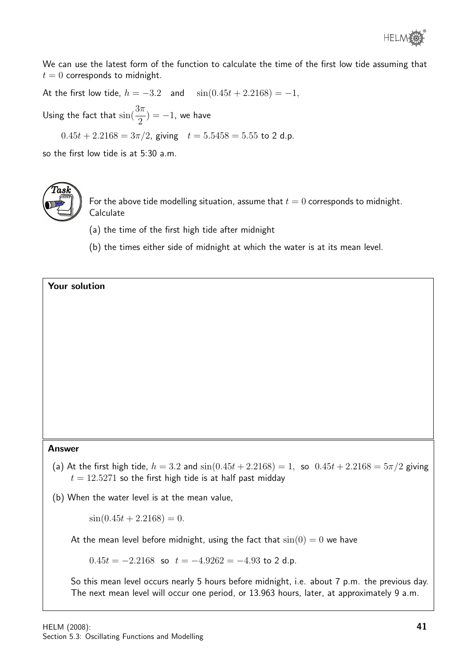

We can use the latest form of the function to calculate the time of the first low tide assuming that  $t = 0$  corresponds to midnight.

At the first low tide,  $h = -3.2$  and  $\sin(0.45t + 2.2168) = -1$ , Using the fact that  $\sin(\frac{3\pi}{2})$ 2  $) = -1$ , we have  $0.45t + 2.2168 = 3\pi/2$ , giving  $t = 5.5458 = 5.55$  to 2 d.p.

so the first low tide is at 5:30 a.m.



For the above tide modelling situation, assume that  $t = 0$  corresponds to midnight. Calculate

- (a) the time of the first high tide after midnight
- (b) the times either side of midnight at which the water is at its mean level.

#### Your solution

#### Answer

(a) At the first high tide,  $h = 3.2$  and  $\sin(0.45t + 2.2168) = 1$ , so  $0.45t + 2.2168 = 5\pi/2$  giving  $t = 12.5271$  so the first high tide is at half past midday

(b) When the water level is at the mean value,

 $\sin(0.45t + 2.2168) = 0.$ 

At the mean level before midnight, using the fact that  $sin(0) = 0$  we have

 $0.45t = -2.2168$  so  $t = -4.9262 = -4.93$  to 2 d.p.

So this mean level occurs nearly 5 hours before midnight, i.e. about 7 p.m. the previous day. The next mean level will occur one period, or 13.963 hours, later, at approximately 9 a.m.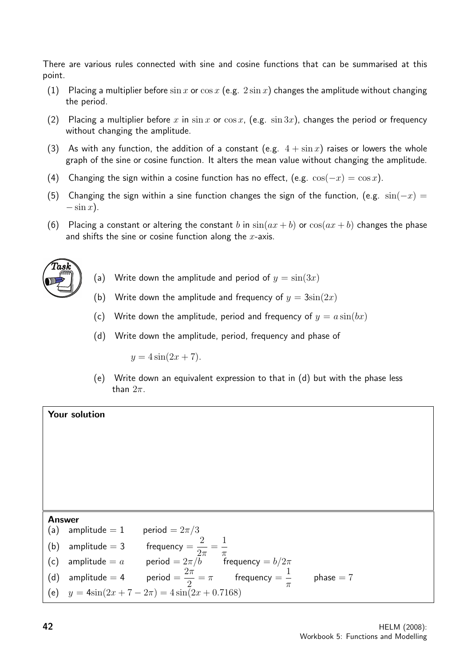There are various rules connected with sine and cosine functions that can be summarised at this point.

- (1) Placing a multiplier before  $\sin x$  or  $\cos x$  (e.g.  $2 \sin x$ ) changes the amplitude without changing the period.
- (2) Placing a multiplier before x in sin x or  $\cos x$ , (e.g.  $\sin 3x$ ), changes the period or frequency without changing the amplitude.
- (3) As with any function, the addition of a constant (e.g.  $4 + \sin x$ ) raises or lowers the whole graph of the sine or cosine function. It alters the mean value without changing the amplitude.
- (4) Changing the sign within a cosine function has no effect, (e.g.  $cos(-x) = cos x$ ).
- (5) Changing the sign within a sine function changes the sign of the function, (e.g.  $\sin(-x) =$  $-\sin x$ ).
- (6) Placing a constant or altering the constant b in  $sin(ax + b)$  or  $cos(ax + b)$  changes the phase and shifts the sine or cosine function along the  $x$ -axis.



- (a) Write down the amplitude and period of  $y = sin(3x)$
- (b) Write down the amplitude and frequency of  $y = 3\sin(2x)$
- (c) Write down the amplitude, period and frequency of  $y = a \sin(bx)$
- (d) Write down the amplitude, period, frequency and phase of

 $y = 4 \sin(2x + 7)$ .

(e) Write down an equivalent expression to that in (d) but with the phase less than  $2\pi$ .



Answer (a) amplitude  $= 1$  period  $= 2\pi/3$ (b) amplitude  $= 3$  frequency  $=$ 2  $2\pi$ = 1  $\pi$ (c) amplitude  $=a$  period  $=2\pi/b$  frequency  $= b/2\pi$ (d) amplitude  $= 4$  period  $=$  $2\pi$ 2  $=\pi$  frequency  $=$ 1  $\pi$  $phase = 7$ (e)  $y = 4\sin(2x + 7 - 2\pi) = 4\sin(2x + 0.7168)$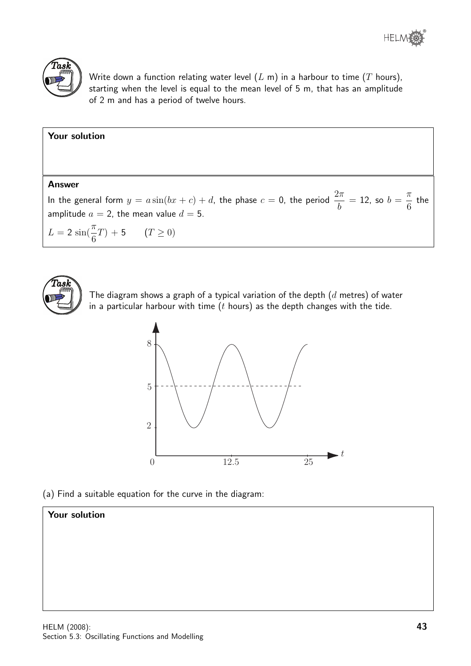



Write down a function relating water level  $(L \, \text{m})$  in a harbour to time  $(T \, \text{hours})$ , starting when the level is equal to the mean level of 5 m, that has an amplitude of 2 m and has a period of twelve hours.

| Your solution                                                                                                                                                                 |
|-------------------------------------------------------------------------------------------------------------------------------------------------------------------------------|
|                                                                                                                                                                               |
| <b>Answer</b>                                                                                                                                                                 |
| In the general form $y=a\sin(bx+c)+d$ , the phase $c=0$ , the period $\frac{2\pi}{b}=12$ , so $b=\frac{\pi}{6}$ the $\frac{1}{2}$<br>amplitude $a=2$ , the mean value $d=5$ . |
| $L = 2 \sin(\frac{\pi}{6}T) + 5$ $(T \ge 0)$                                                                                                                                  |



6

The diagram shows a graph of a typical variation of the depth  $(d$  metres) of water in a particular harbour with time  $(t$  hours) as the depth changes with the tide.



(a) Find a suitable equation for the curve in the diagram:

### Your solution